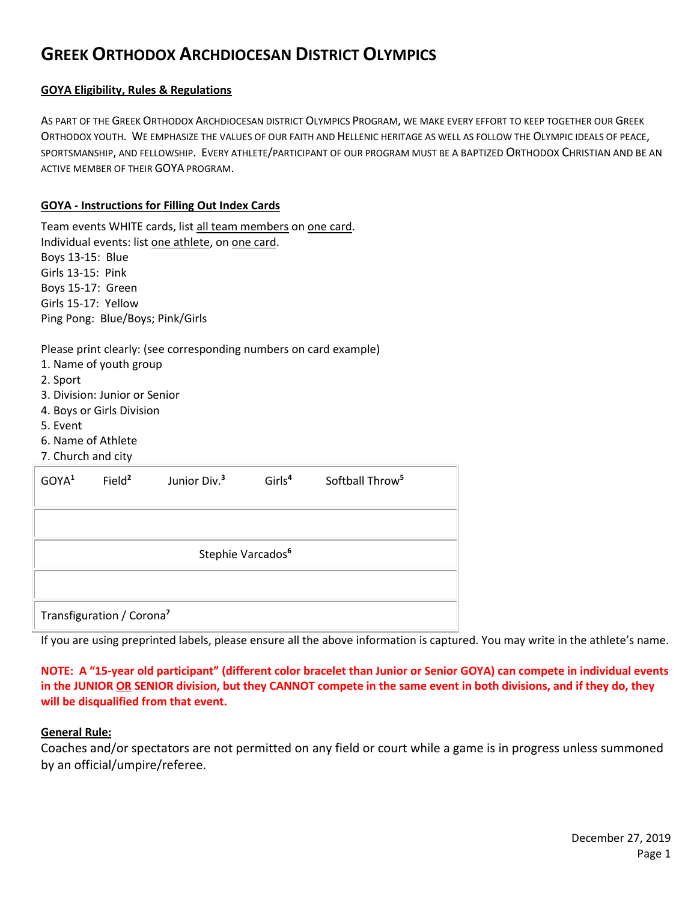# **GREEK ORTHODOX ARCHDIOCESAN DISTRICT OLYMPICS**

## **GOYA Eligibility, Rules & Regulations**

AS PART OF THE GREEK ORTHODOX ARCHDIOCESAN DISTRICT OLYMPICS PROGRAM, WE MAKE EVERY EFFORT TO KEEP TOGETHER OUR GREEK ORTHODOX YOUTH. WE EMPHASIZE THE VALUES OF OUR FAITH AND HELLENIC HERITAGE AS WELL AS FOLLOW THE OLYMPIC IDEALS OF PEACE, SPORTSMANSHIP, AND FELLOWSHIP. EVERY ATHLETE/PARTICIPANT OF OUR PROGRAM MUST BE A BAPTIZED ORTHODOX CHRISTIAN AND BE AN ACTIVE MEMBER OF THEIR GOYA PROGRAM.

## **GOYA - Instructions for Filling Out Index Cards**

Team events WHITE cards, list all team members on one card. Individual events: list one athlete, on one card. Boys 13-15: Blue Girls 13-15: Pink Boys 15-17: Green Girls 15-17: Yellow Ping Pong: Blue/Boys; Pink/Girls

# Please print clearly: (see corresponding numbers on card example)

- 1. Name of youth group
- 2. Sport
- 3. Division: Junior or Senior
- 4. Boys or Girls Division
- 5. Event
- 6. Name of Athlete
- 7. Church and city

| GOYA <sup>1</sup>             | Field <sup>2</sup>                    | Junior Div. <sup>3</sup> | Girls <sup>4</sup> | Softball Throw <sup>5</sup> |  |
|-------------------------------|---------------------------------------|--------------------------|--------------------|-----------------------------|--|
|                               |                                       |                          |                    |                             |  |
|                               |                                       |                          |                    |                             |  |
| Stephie Varcados <sup>6</sup> |                                       |                          |                    |                             |  |
|                               |                                       |                          |                    |                             |  |
|                               | Transfiguration / Corona <sup>7</sup> |                          |                    |                             |  |

If you are using preprinted labels, please ensure all the above information is captured. You may write in the athlete's name.

**NOTE: A "15-year old participant" (different color bracelet than Junior or Senior GOYA) can compete in individual events in the JUNIOR OR SENIOR division, but they CANNOT compete in the same event in both divisions, and if they do, they will be disqualified from that event.**

#### **General Rule:**

Coaches and/or spectators are not permitted on any field or court while a game is in progress unless summoned by an official/umpire/referee.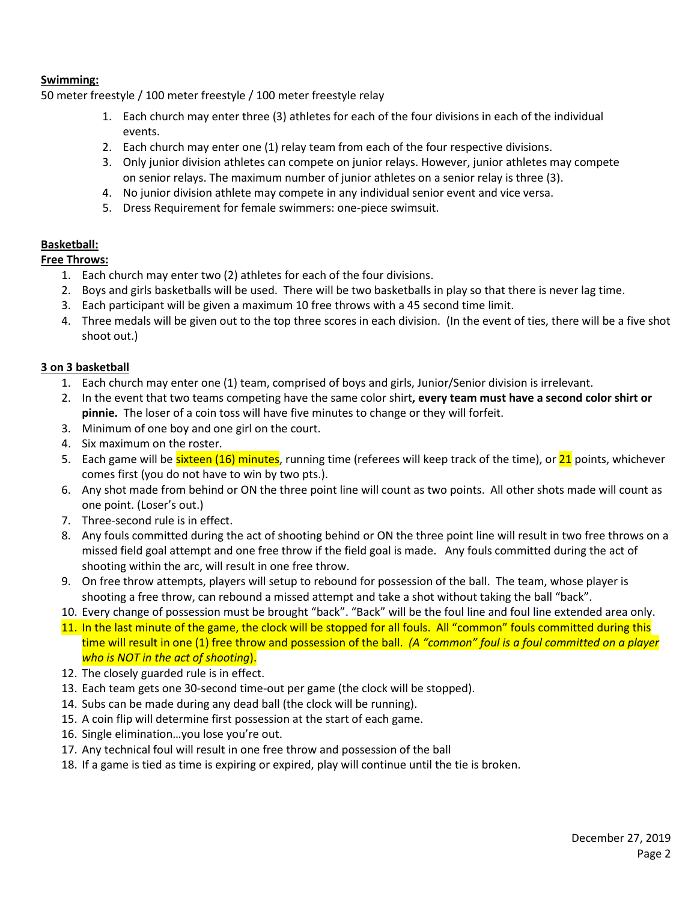## **Swimming:**

50 meter freestyle / 100 meter freestyle / 100 meter freestyle relay

- 1. Each church may enter three (3) athletes for each of the four divisions in each of the individual events.
- 2. Each church may enter one (1) relay team from each of the four respective divisions.
- 3. Only junior division athletes can compete on junior relays. However, junior athletes may compete on senior relays. The maximum number of junior athletes on a senior relay is three (3).
- 4. No junior division athlete may compete in any individual senior event and vice versa.
- 5. Dress Requirement for female swimmers: one-piece swimsuit.

# **Basketball:**

**Free Throws:**

- 1. Each church may enter two (2) athletes for each of the four divisions.
- 2. Boys and girls basketballs will be used. There will be two basketballs in play so that there is never lag time.
- 3. Each participant will be given a maximum 10 free throws with a 45 second time limit.
- 4. Three medals will be given out to the top three scores in each division. (In the event of ties, there will be a five shot shoot out.)

# **3 on 3 basketball**

- 1. Each church may enter one (1) team, comprised of boys and girls, Junior/Senior division is irrelevant.
- 2. In the event that two teams competing have the same color shirt**, every team must have a second color shirt or pinnie.** The loser of a coin toss will have five minutes to change or they will forfeit.
- 3. Minimum of one boy and one girl on the court.
- 4. Six maximum on the roster.
- 5. Each game will be sixteen (16) minutes, running time (referees will keep track of the time), or 21 points, whichever comes first (you do not have to win by two pts.).
- 6. Any shot made from behind or ON the three point line will count as two points. All other shots made will count as one point. (Loser's out.)
- 7. Three-second rule is in effect.
- 8. Any fouls committed during the act of shooting behind or ON the three point line will result in two free throws on a missed field goal attempt and one free throw if the field goal is made. Any fouls committed during the act of shooting within the arc, will result in one free throw.
- 9. On free throw attempts, players will setup to rebound for possession of the ball. The team, whose player is shooting a free throw, can rebound a missed attempt and take a shot without taking the ball "back".
- 10. Every change of possession must be brought "back". "Back" will be the foul line and foul line extended area only.
- 11. In the last minute of the game, the clock will be stopped for all fouls. All "common" fouls committed during this time will result in one (1) free throw and possession of the ball. *(A "common" foul is a foul committed on a player who is NOT in the act of shooting*).
- 12. The closely guarded rule is in effect.
- 13. Each team gets one 30-second time-out per game (the clock will be stopped).
- 14. Subs can be made during any dead ball (the clock will be running).
- 15. A coin flip will determine first possession at the start of each game.
- 16. Single elimination…you lose you're out.
- 17. Any technical foul will result in one free throw and possession of the ball
- 18. If a game is tied as time is expiring or expired, play will continue until the tie is broken.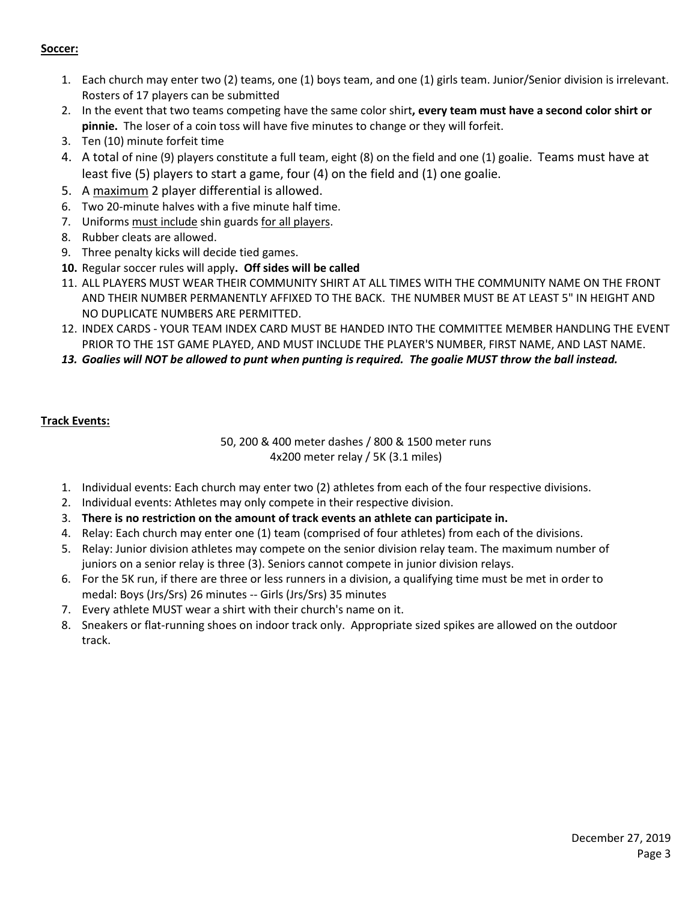## **Soccer:**

- 1. Each church may enter two (2) teams, one (1) boys team, and one (1) girls team. Junior/Senior division is irrelevant. Rosters of 17 players can be submitted
- 2. In the event that two teams competing have the same color shirt**, every team must have a second color shirt or pinnie.** The loser of a coin toss will have five minutes to change or they will forfeit.
- 3. Ten (10) minute forfeit time
- 4. A total of nine (9) players constitute a full team, eight (8) on the field and one (1) goalie. Teams must have at least five (5) players to start a game, four (4) on the field and (1) one goalie.
- 5. A maximum 2 player differential is allowed.
- 6. Two 20-minute halves with a five minute half time.
- 7. Uniforms must include shin guards for all players.
- 8. Rubber cleats are allowed.
- 9. Three penalty kicks will decide tied games.
- **10.** Regular soccer rules will apply**. Off sides will be called**
- 11. ALL PLAYERS MUST WEAR THEIR COMMUNITY SHIRT AT ALL TIMES WITH THE COMMUNITY NAME ON THE FRONT AND THEIR NUMBER PERMANENTLY AFFIXED TO THE BACK. THE NUMBER MUST BE AT LEAST 5" IN HEIGHT AND NO DUPLICATE NUMBERS ARE PERMITTED.
- 12. INDEX CARDS YOUR TEAM INDEX CARD MUST BE HANDED INTO THE COMMITTEE MEMBER HANDLING THE EVENT PRIOR TO THE 1ST GAME PLAYED, AND MUST INCLUDE THE PLAYER'S NUMBER, FIRST NAME, AND LAST NAME.
- *13. Goalies will NOT be allowed to punt when punting is required. The goalie MUST throw the ball instead.*

# **Track Events:**

50, 200 & 400 meter dashes / 800 & 1500 meter runs 4x200 meter relay / 5K (3.1 miles)

- 1. Individual events: Each church may enter two (2) athletes from each of the four respective divisions.
- 2. Individual events: Athletes may only compete in their respective division.
- 3. **There is no restriction on the amount of track events an athlete can participate in.**
- 4. Relay: Each church may enter one (1) team (comprised of four athletes) from each of the divisions.
- 5. Relay: Junior division athletes may compete on the senior division relay team. The maximum number of juniors on a senior relay is three (3). Seniors cannot compete in junior division relays.
- 6. For the 5K run, if there are three or less runners in a division, a qualifying time must be met in order to medal: Boys (Jrs/Srs) 26 minutes -- Girls (Jrs/Srs) 35 minutes
- 7. Every athlete MUST wear a shirt with their church's name on it.
- 8. Sneakers or flat-running shoes on indoor track only. Appropriate sized spikes are allowed on the outdoor track.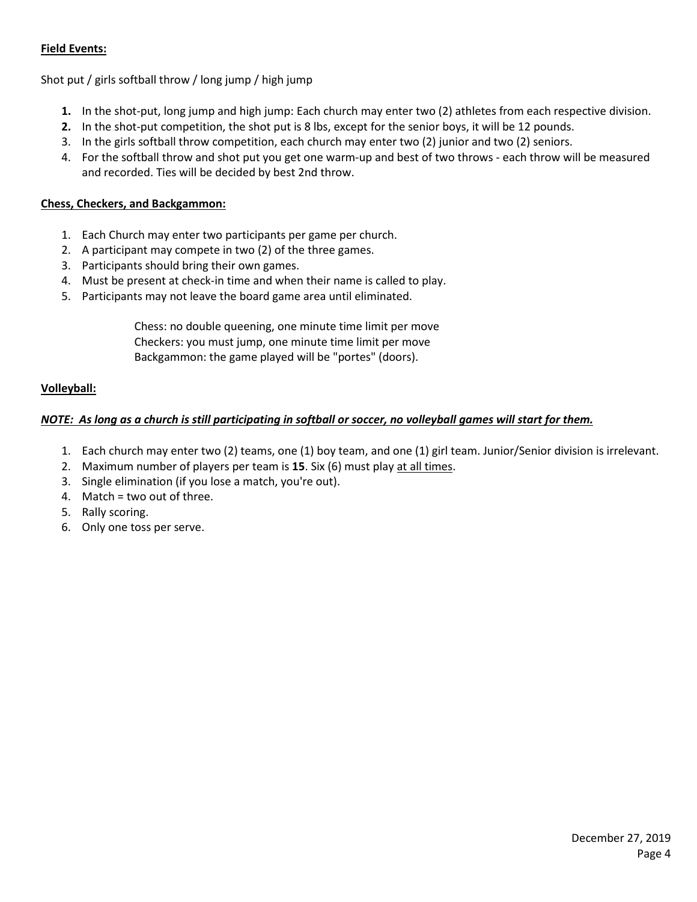# **Field Events:**

Shot put / girls softball throw / long jump / high jump

- **1.** In the shot-put, long jump and high jump: Each church may enter two (2) athletes from each respective division.
- **2.** In the shot-put competition, the shot put is 8 lbs, except for the senior boys, it will be 12 pounds.
- 3. In the girls softball throw competition, each church may enter two (2) junior and two (2) seniors.
- 4. For the softball throw and shot put you get one warm-up and best of two throws each throw will be measured and recorded. Ties will be decided by best 2nd throw.

## **Chess, Checkers, and Backgammon:**

- 1. Each Church may enter two participants per game per church.
- 2. A participant may compete in two (2) of the three games.
- 3. Participants should bring their own games.
- 4. Must be present at check-in time and when their name is called to play.
- 5. Participants may not leave the board game area until eliminated.

 Chess: no double queening, one minute time limit per move Checkers: you must jump, one minute time limit per move Backgammon: the game played will be "portes" (doors).

## **Volleyball:**

## *NOTE: As long as a church is still participating in softball or soccer, no volleyball games will start for them.*

- 1. Each church may enter two (2) teams, one (1) boy team, and one (1) girl team. Junior/Senior division is irrelevant.
- 2. Maximum number of players per team is **15**. Six (6) must play at all times.
- 3. Single elimination (if you lose a match, you're out).
- 4. Match = two out of three.
- 5. Rally scoring.
- 6. Only one toss per serve.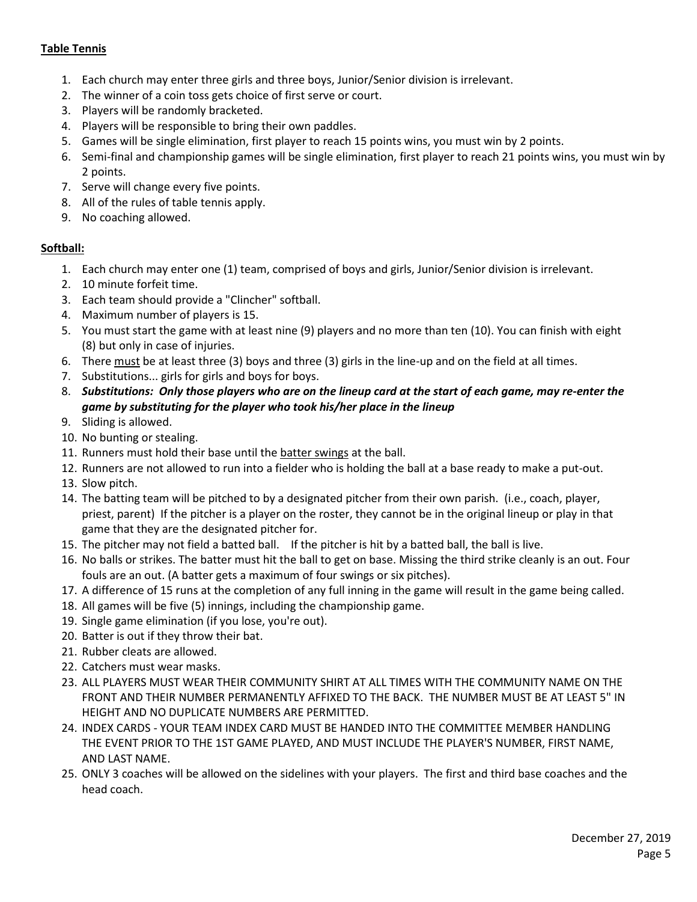# **Table Tennis**

- 1. Each church may enter three girls and three boys, Junior/Senior division is irrelevant.
- 2. The winner of a coin toss gets choice of first serve or court.
- 3. Players will be randomly bracketed.
- 4. Players will be responsible to bring their own paddles.
- 5. Games will be single elimination, first player to reach 15 points wins, you must win by 2 points.
- 6. Semi-final and championship games will be single elimination, first player to reach 21 points wins, you must win by 2 points.
- 7. Serve will change every five points.
- 8. All of the rules of table tennis apply.
- 9. No coaching allowed.

# **Softball:**

- 1. Each church may enter one (1) team, comprised of boys and girls, Junior/Senior division is irrelevant.
- 2. 10 minute forfeit time.
- 3. Each team should provide a "Clincher" softball.
- 4. Maximum number of players is 15.
- 5. You must start the game with at least nine (9) players and no more than ten (10). You can finish with eight (8) but only in case of injuries.
- 6. There must be at least three (3) boys and three (3) girls in the line-up and on the field at all times.
- 7. Substitutions... girls for girls and boys for boys.
- 8. *Substitutions: Only those players who are on the lineup card at the start of each game, may re-enter the game by substituting for the player who took his/her place in the lineup*
- 9. Sliding is allowed.
- 10. No bunting or stealing.
- 11. Runners must hold their base until the batter swings at the ball.
- 12. Runners are not allowed to run into a fielder who is holding the ball at a base ready to make a put-out.
- 13. Slow pitch.
- 14. The batting team will be pitched to by a designated pitcher from their own parish. (i.e., coach, player, priest, parent) If the pitcher is a player on the roster, they cannot be in the original lineup or play in that game that they are the designated pitcher for.
- 15. The pitcher may not field a batted ball. If the pitcher is hit by a batted ball, the ball is live.
- 16. No balls or strikes. The batter must hit the ball to get on base. Missing the third strike cleanly is an out. Four fouls are an out. (A batter gets a maximum of four swings or six pitches).
- 17. A difference of 15 runs at the completion of any full inning in the game will result in the game being called.
- 18. All games will be five (5) innings, including the championship game.
- 19. Single game elimination (if you lose, you're out).
- 20. Batter is out if they throw their bat.
- 21. Rubber cleats are allowed.
- 22. Catchers must wear masks.
- 23. ALL PLAYERS MUST WEAR THEIR COMMUNITY SHIRT AT ALL TIMES WITH THE COMMUNITY NAME ON THE FRONT AND THEIR NUMBER PERMANENTLY AFFIXED TO THE BACK. THE NUMBER MUST BE AT LEAST 5" IN HEIGHT AND NO DUPLICATE NUMBERS ARE PERMITTED.
- 24. INDEX CARDS YOUR TEAM INDEX CARD MUST BE HANDED INTO THE COMMITTEE MEMBER HANDLING THE EVENT PRIOR TO THE 1ST GAME PLAYED, AND MUST INCLUDE THE PLAYER'S NUMBER, FIRST NAME, AND LAST NAME.
- 25. ONLY 3 coaches will be allowed on the sidelines with your players. The first and third base coaches and the head coach.